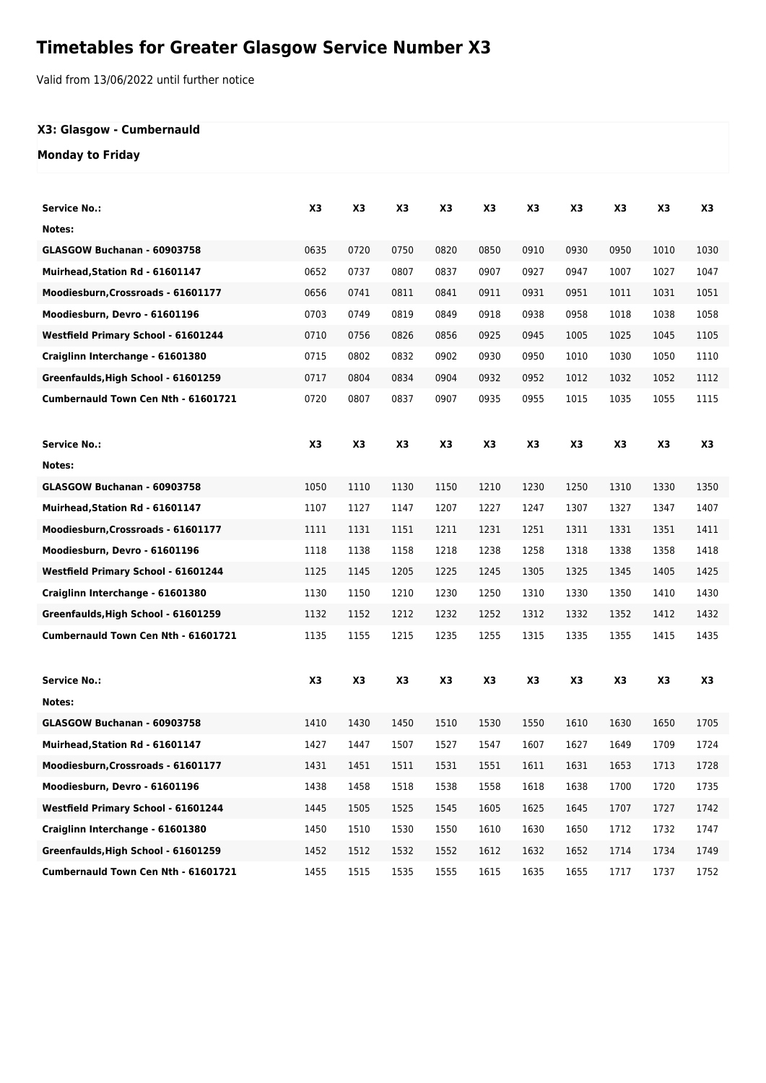# **Timetables for Greater Glasgow Service Number X3**

Valid from 13/06/2022 until further notice

## **X3: Glasgow - Cumbernauld**

## **Monday to Friday**

| Service No.:                        | X3   | X3             | X3   | X3   | X3             | X <sub>3</sub> | X3   | X3   | X3   | X3   |
|-------------------------------------|------|----------------|------|------|----------------|----------------|------|------|------|------|
| Notes:                              |      |                |      |      |                |                |      |      |      |      |
| GLASGOW Buchanan - 60903758         | 0635 | 0720           | 0750 | 0820 | 0850           | 0910           | 0930 | 0950 | 1010 | 1030 |
| Muirhead, Station Rd - 61601147     | 0652 | 0737           | 0807 | 0837 | 0907           | 0927           | 0947 | 1007 | 1027 | 1047 |
| Moodiesburn, Crossroads - 61601177  | 0656 | 0741           | 0811 | 0841 | 0911           | 0931           | 0951 | 1011 | 1031 | 1051 |
| Moodiesburn, Devro - 61601196       | 0703 | 0749           | 0819 | 0849 | 0918           | 0938           | 0958 | 1018 | 1038 | 1058 |
| Westfield Primary School - 61601244 | 0710 | 0756           | 0826 | 0856 | 0925           | 0945           | 1005 | 1025 | 1045 | 1105 |
| Craiglinn Interchange - 61601380    | 0715 | 0802           | 0832 | 0902 | 0930           | 0950           | 1010 | 1030 | 1050 | 1110 |
| Greenfaulds, High School - 61601259 | 0717 | 0804           | 0834 | 0904 | 0932           | 0952           | 1012 | 1032 | 1052 | 1112 |
| Cumbernauld Town Cen Nth - 61601721 | 0720 | 0807           | 0837 | 0907 | 0935           | 0955           | 1015 | 1035 | 1055 | 1115 |
|                                     |      |                |      |      |                |                |      |      |      |      |
| <b>Service No.:</b>                 | X3   | X <sub>3</sub> | X3   | X3   | X <sub>3</sub> | X3             | X3   | X3   | X3   | X3   |
| Notes:                              |      |                |      |      |                |                |      |      |      |      |
| GLASGOW Buchanan - 60903758         | 1050 | 1110           | 1130 | 1150 | 1210           | 1230           | 1250 | 1310 | 1330 | 1350 |
| Muirhead, Station Rd - 61601147     | 1107 | 1127           | 1147 | 1207 | 1227           | 1247           | 1307 | 1327 | 1347 | 1407 |
| Moodiesburn, Crossroads - 61601177  | 1111 | 1131           | 1151 | 1211 | 1231           | 1251           | 1311 | 1331 | 1351 | 1411 |
| Moodiesburn, Devro - 61601196       | 1118 | 1138           | 1158 | 1218 | 1238           | 1258           | 1318 | 1338 | 1358 | 1418 |
| Westfield Primary School - 61601244 | 1125 | 1145           | 1205 | 1225 | 1245           | 1305           | 1325 | 1345 | 1405 | 1425 |
| Craiglinn Interchange - 61601380    | 1130 | 1150           | 1210 | 1230 | 1250           | 1310           | 1330 | 1350 | 1410 | 1430 |
| Greenfaulds, High School - 61601259 | 1132 | 1152           | 1212 | 1232 | 1252           | 1312           | 1332 | 1352 | 1412 | 1432 |
| Cumbernauld Town Cen Nth - 61601721 | 1135 | 1155           | 1215 | 1235 | 1255           | 1315           | 1335 | 1355 | 1415 | 1435 |
|                                     |      |                |      |      |                |                |      |      |      |      |
| <b>Service No.:</b>                 | X3   | X3             | X3   | X3   | X3             | X3             | X3   | X3   | X3   | X3   |
| Notes:                              |      |                |      |      |                |                |      |      |      |      |
| GLASGOW Buchanan - 60903758         | 1410 | 1430           | 1450 | 1510 | 1530           | 1550           | 1610 | 1630 | 1650 | 1705 |
| Muirhead, Station Rd - 61601147     | 1427 | 1447           | 1507 | 1527 | 1547           | 1607           | 1627 | 1649 | 1709 | 1724 |
| Moodiesburn, Crossroads - 61601177  | 1431 | 1451           | 1511 | 1531 | 1551           | 1611           | 1631 | 1653 | 1713 | 1728 |
| Moodiesburn, Devro - 61601196       | 1438 | 1458           | 1518 | 1538 | 1558           | 1618           | 1638 | 1700 | 1720 | 1735 |
| Westfield Primary School - 61601244 | 1445 | 1505           | 1525 | 1545 | 1605           | 1625           | 1645 | 1707 | 1727 | 1742 |
| Craiglinn Interchange - 61601380    | 1450 | 1510           | 1530 | 1550 | 1610           | 1630           | 1650 | 1712 | 1732 | 1747 |
| Greenfaulds, High School - 61601259 | 1452 | 1512           | 1532 | 1552 | 1612           | 1632           | 1652 | 1714 | 1734 | 1749 |
| Cumbernauld Town Cen Nth - 61601721 | 1455 | 1515           | 1535 | 1555 | 1615           | 1635           | 1655 | 1717 | 1737 | 1752 |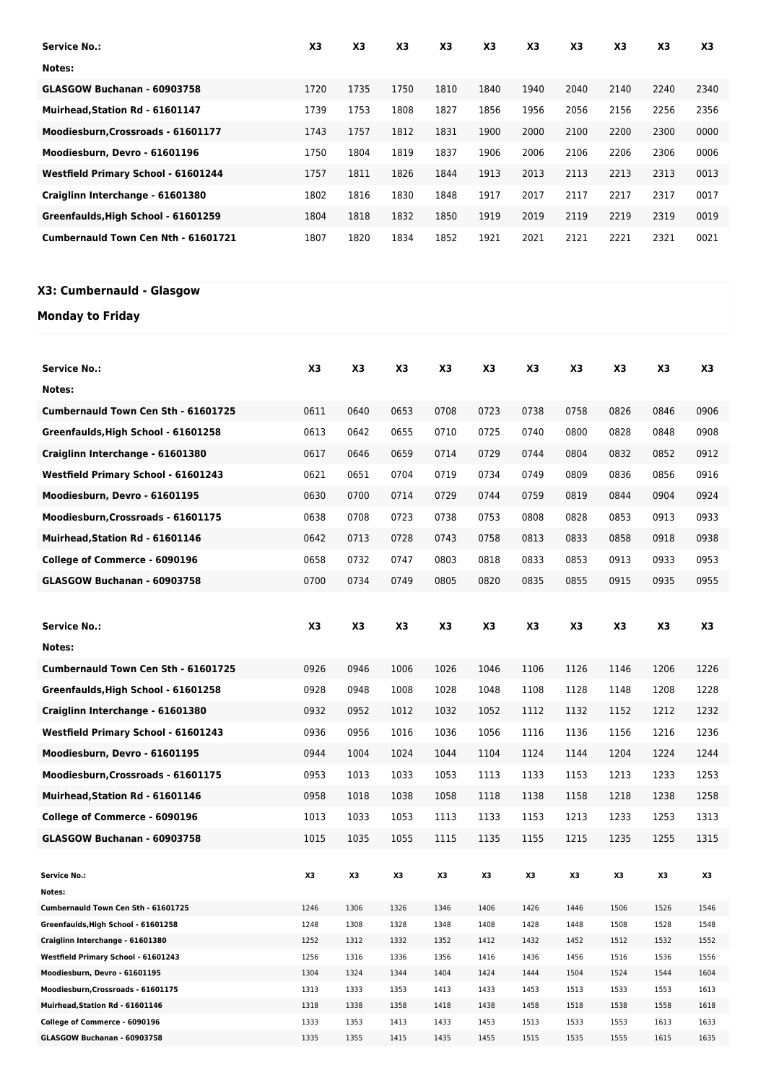| <b>Service No.:</b>                 | X3   | X <sub>3</sub> | X <sub>3</sub> | X3   | X3   | X <sub>3</sub> | X3   | X <sub>3</sub> | X <sub>3</sub> | X3   |
|-------------------------------------|------|----------------|----------------|------|------|----------------|------|----------------|----------------|------|
| Notes:                              |      |                |                |      |      |                |      |                |                |      |
| GLASGOW Buchanan - 60903758         | 1720 | 1735           | 1750           | 1810 | 1840 | 1940           | 2040 | 2140           | 2240           | 2340 |
| Muirhead.Station Rd - 61601147      | 1739 | 1753           | 1808           | 1827 | 1856 | 1956           | 2056 | 2156           | 2256           | 2356 |
| Moodiesburn, Crossroads - 61601177  | 1743 | 1757           | 1812           | 1831 | 1900 | 2000           | 2100 | 2200           | 2300           | 0000 |
| Moodiesburn, Devro - 61601196       | 1750 | 1804           | 1819           | 1837 | 1906 | 2006           | 2106 | 2206           | 2306           | 0006 |
| Westfield Primary School - 61601244 | 1757 | 1811           | 1826           | 1844 | 1913 | 2013           | 2113 | 2213           | 2313           | 0013 |
| Craiglinn Interchange - 61601380    | 1802 | 1816           | 1830           | 1848 | 1917 | 2017           | 2117 | 2217           | 2317           | 0017 |
| Greenfaulds, High School - 61601259 | 1804 | 1818           | 1832           | 1850 | 1919 | 2019           | 2119 | 2219           | 2319           | 0019 |
| Cumbernauld Town Cen Nth - 61601721 | 1807 | 1820           | 1834           | 1852 | 1921 | 2021           | 2121 | 2221           | 2321           | 0021 |

## **X3: Cumbernauld - Glasgow**

### **Monday to Friday**

| <b>Service No.:</b>                 | X <sub>3</sub> | X3   | X3   | X3   | X3   | X3   | X3   | X3   | X3   | X3   |
|-------------------------------------|----------------|------|------|------|------|------|------|------|------|------|
| Notes:                              |                |      |      |      |      |      |      |      |      |      |
| Cumbernauld Town Cen Sth - 61601725 | 0611           | 0640 | 0653 | 0708 | 0723 | 0738 | 0758 | 0826 | 0846 | 0906 |
| Greenfaulds, High School - 61601258 | 0613           | 0642 | 0655 | 0710 | 0725 | 0740 | 0800 | 0828 | 0848 | 0908 |
| Craiglinn Interchange - 61601380    | 0617           | 0646 | 0659 | 0714 | 0729 | 0744 | 0804 | 0832 | 0852 | 0912 |
|                                     |                |      |      |      |      |      |      |      |      |      |
| Westfield Primary School - 61601243 | 0621           | 0651 | 0704 | 0719 | 0734 | 0749 | 0809 | 0836 | 0856 | 0916 |
| Moodiesburn, Devro - 61601195       | 0630           | 0700 | 0714 | 0729 | 0744 | 0759 | 0819 | 0844 | 0904 | 0924 |
| Moodiesburn, Crossroads - 61601175  | 0638           | 0708 | 0723 | 0738 | 0753 | 0808 | 0828 | 0853 | 0913 | 0933 |
| Muirhead, Station Rd - 61601146     | 0642           | 0713 | 0728 | 0743 | 0758 | 0813 | 0833 | 0858 | 0918 | 0938 |
| College of Commerce - 6090196       | 0658           | 0732 | 0747 | 0803 | 0818 | 0833 | 0853 | 0913 | 0933 | 0953 |
| GLASGOW Buchanan - 60903758         | 0700           | 0734 | 0749 | 0805 | 0820 | 0835 | 0855 | 0915 | 0935 | 0955 |
|                                     |                |      |      |      |      |      |      |      |      |      |
| <b>Service No.:</b>                 | X3             | X3   | X3   | X3   | X3   | X3   | X3   | X3   | X3   | X3   |
| Notes:                              |                |      |      |      |      |      |      |      |      |      |
|                                     |                |      |      |      |      |      |      |      |      |      |
| Cumbernauld Town Cen Sth - 61601725 | 0926           | 0946 | 1006 | 1026 | 1046 | 1106 | 1126 | 1146 | 1206 | 1226 |
| Greenfaulds, High School - 61601258 | 0928           | 0948 | 1008 | 1028 | 1048 | 1108 | 1128 | 1148 | 1208 | 1228 |
| Craiglinn Interchange - 61601380    | 0932           | 0952 | 1012 | 1032 | 1052 | 1112 | 1132 | 1152 | 1212 | 1232 |
| Westfield Primary School - 61601243 | 0936           | 0956 | 1016 | 1036 | 1056 | 1116 | 1136 | 1156 | 1216 | 1236 |
| Moodiesburn, Devro - 61601195       | 0944           | 1004 | 1024 | 1044 | 1104 | 1124 | 1144 | 1204 | 1224 | 1244 |
| Moodiesburn, Crossroads - 61601175  | 0953           | 1013 | 1033 | 1053 | 1113 | 1133 | 1153 | 1213 | 1233 | 1253 |
| Muirhead, Station Rd - 61601146     | 0958           | 1018 | 1038 | 1058 | 1118 | 1138 | 1158 | 1218 | 1238 | 1258 |
| College of Commerce - 6090196       | 1013           | 1033 | 1053 | 1113 | 1133 | 1153 | 1213 | 1233 | 1253 | 1313 |
| GLASGOW Buchanan - 60903758         | 1015           | 1035 | 1055 | 1115 | 1135 | 1155 | 1215 | 1235 | 1255 | 1315 |
|                                     |                |      |      |      |      |      |      |      |      |      |
| <b>Service No.:</b>                 | X3             | X3   | X3   | X3   | X3   | X3   | X3   | X3   | X3   | X3   |
| Notes:                              |                |      |      |      |      |      |      |      |      |      |
| Cumbernauld Town Cen Sth - 61601725 | 1246           | 1306 | 1326 | 1346 | 1406 | 1426 | 1446 | 1506 | 1526 | 1546 |
| Greenfaulds, High School - 61601258 | 1248           | 1308 | 1328 | 1348 | 1408 | 1428 | 1448 | 1508 | 1528 | 1548 |
| Craiglinn Interchange - 61601380    | 1252           | 1312 | 1332 | 1352 | 1412 | 1432 | 1452 | 1512 | 1532 | 1552 |
| Westfield Primary School - 61601243 | 1256           | 1316 | 1336 | 1356 | 1416 | 1436 | 1456 | 1516 | 1536 | 1556 |
| Moodiesburn, Devro - 61601195       | 1304           | 1324 | 1344 | 1404 | 1424 | 1444 | 1504 | 1524 | 1544 | 1604 |
| Moodiesburn, Crossroads - 61601175  | 1313           | 1333 | 1353 | 1413 | 1433 | 1453 | 1513 | 1533 | 1553 | 1613 |
| Muirhead, Station Rd - 61601146     | 1318           | 1338 | 1358 | 1418 | 1438 | 1458 | 1518 | 1538 | 1558 | 1618 |
| College of Commerce - 6090196       | 1333           | 1353 | 1413 | 1433 | 1453 | 1513 | 1533 | 1553 | 1613 | 1633 |
| GLASGOW Buchanan - 60903758         | 1335           | 1355 | 1415 | 1435 | 1455 | 1515 | 1535 | 1555 | 1615 | 1635 |